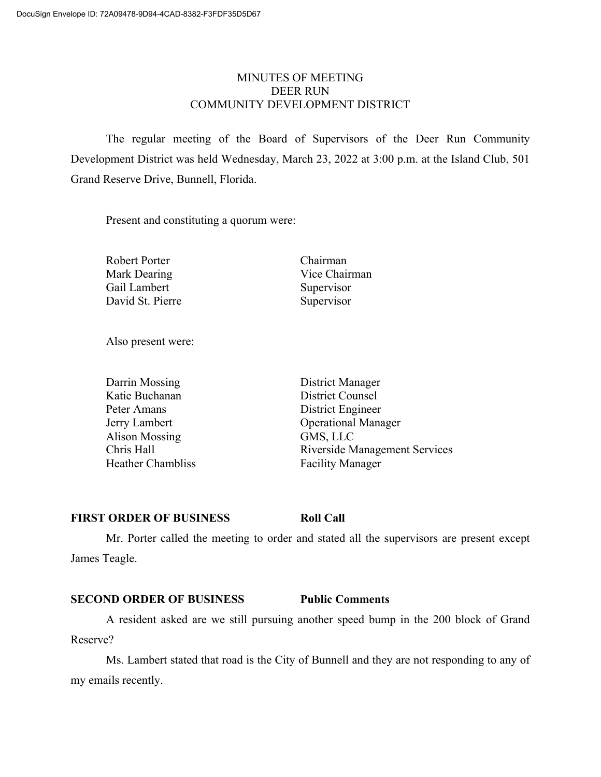# MINUTES OF MEETING DEER RUN COMMUNITY DEVELOPMENT DISTRICT

The regular meeting of the Board of Supervisors of the Deer Run Community Development District was held Wednesday, March 23, 2022 at 3:00 p.m. at the Island Club, 501 Grand Reserve Drive, Bunnell, Florida.

Present and constituting a quorum were:

Robert Porter Chairman Mark Dearing Vice Chairman Gail Lambert Supervisor David St. Pierre Supervisor

Also present were:

| Darrin Mossing           |
|--------------------------|
| Katie Buchanan           |
| Peter Amans              |
| Jerry Lambert            |
| <b>Alison Mossing</b>    |
| Chris Hall               |
| <b>Heather Chambliss</b> |

District Manager District Counsel District Engineer Operational Manager GMS, LLC Riverside Management Services Facility Manager

# **FIRST ORDER OF BUSINESS Roll Call**

Mr. Porter called the meeting to order and stated all the supervisors are present except James Teagle.

# **SECOND ORDER OF BUSINESS Public Comments**

A resident asked are we still pursuing another speed bump in the 200 block of Grand Reserve?

Ms. Lambert stated that road is the City of Bunnell and they are not responding to any of my emails recently.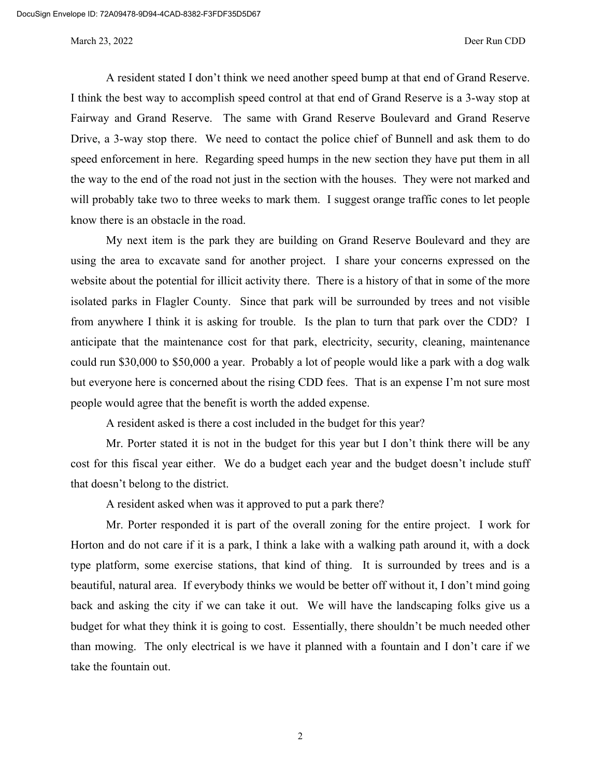A resident stated I don't think we need another speed bump at that end of Grand Reserve. I think the best way to accomplish speed control at that end of Grand Reserve is a 3-way stop at Fairway and Grand Reserve. The same with Grand Reserve Boulevard and Grand Reserve Drive, a 3-way stop there. We need to contact the police chief of Bunnell and ask them to do speed enforcement in here. Regarding speed humps in the new section they have put them in all the way to the end of the road not just in the section with the houses. They were not marked and will probably take two to three weeks to mark them. I suggest orange traffic cones to let people know there is an obstacle in the road.

My next item is the park they are building on Grand Reserve Boulevard and they are using the area to excavate sand for another project. I share your concerns expressed on the website about the potential for illicit activity there. There is a history of that in some of the more isolated parks in Flagler County. Since that park will be surrounded by trees and not visible from anywhere I think it is asking for trouble. Is the plan to turn that park over the CDD? I anticipate that the maintenance cost for that park, electricity, security, cleaning, maintenance could run \$30,000 to \$50,000 a year. Probably a lot of people would like a park with a dog walk but everyone here is concerned about the rising CDD fees. That is an expense I'm not sure most people would agree that the benefit is worth the added expense.

A resident asked is there a cost included in the budget for this year?

Mr. Porter stated it is not in the budget for this year but I don't think there will be any cost for this fiscal year either. We do a budget each year and the budget doesn't include stuff that doesn't belong to the district.

A resident asked when was it approved to put a park there?

Mr. Porter responded it is part of the overall zoning for the entire project. I work for Horton and do not care if it is a park, I think a lake with a walking path around it, with a dock type platform, some exercise stations, that kind of thing. It is surrounded by trees and is a beautiful, natural area. If everybody thinks we would be better off without it, I don't mind going back and asking the city if we can take it out. We will have the landscaping folks give us a budget for what they think it is going to cost. Essentially, there shouldn't be much needed other than mowing. The only electrical is we have it planned with a fountain and I don't care if we take the fountain out.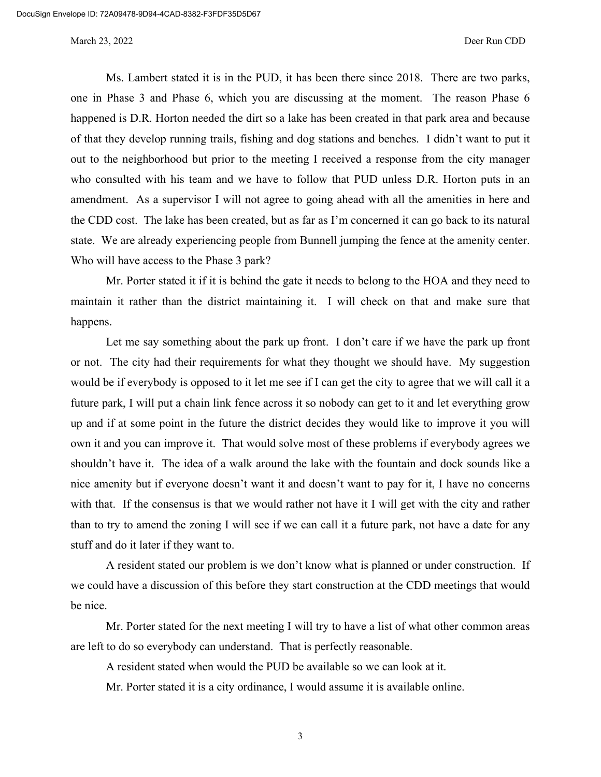Ms. Lambert stated it is in the PUD, it has been there since 2018. There are two parks, one in Phase 3 and Phase 6, which you are discussing at the moment. The reason Phase 6 happened is D.R. Horton needed the dirt so a lake has been created in that park area and because of that they develop running trails, fishing and dog stations and benches. I didn't want to put it out to the neighborhood but prior to the meeting I received a response from the city manager who consulted with his team and we have to follow that PUD unless D.R. Horton puts in an amendment. As a supervisor I will not agree to going ahead with all the amenities in here and the CDD cost. The lake has been created, but as far as I'm concerned it can go back to its natural state. We are already experiencing people from Bunnell jumping the fence at the amenity center. Who will have access to the Phase 3 park?

Mr. Porter stated it if it is behind the gate it needs to belong to the HOA and they need to maintain it rather than the district maintaining it. I will check on that and make sure that happens.

Let me say something about the park up front. I don't care if we have the park up front or not. The city had their requirements for what they thought we should have. My suggestion would be if everybody is opposed to it let me see if I can get the city to agree that we will call it a future park, I will put a chain link fence across it so nobody can get to it and let everything grow up and if at some point in the future the district decides they would like to improve it you will own it and you can improve it. That would solve most of these problems if everybody agrees we shouldn't have it. The idea of a walk around the lake with the fountain and dock sounds like a nice amenity but if everyone doesn't want it and doesn't want to pay for it, I have no concerns with that. If the consensus is that we would rather not have it I will get with the city and rather than to try to amend the zoning I will see if we can call it a future park, not have a date for any stuff and do it later if they want to.

A resident stated our problem is we don't know what is planned or under construction. If we could have a discussion of this before they start construction at the CDD meetings that would be nice.

Mr. Porter stated for the next meeting I will try to have a list of what other common areas are left to do so everybody can understand. That is perfectly reasonable.

A resident stated when would the PUD be available so we can look at it.

Mr. Porter stated it is a city ordinance, I would assume it is available online.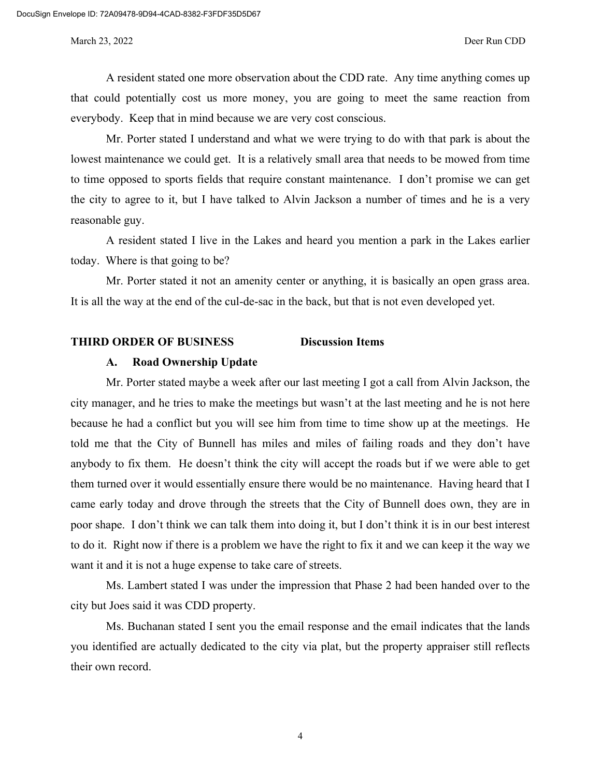A resident stated one more observation about the CDD rate. Any time anything comes up that could potentially cost us more money, you are going to meet the same reaction from everybody. Keep that in mind because we are very cost conscious.

Mr. Porter stated I understand and what we were trying to do with that park is about the lowest maintenance we could get. It is a relatively small area that needs to be mowed from time to time opposed to sports fields that require constant maintenance. I don't promise we can get the city to agree to it, but I have talked to Alvin Jackson a number of times and he is a very reasonable guy.

A resident stated I live in the Lakes and heard you mention a park in the Lakes earlier today. Where is that going to be?

Mr. Porter stated it not an amenity center or anything, it is basically an open grass area. It is all the way at the end of the cul-de-sac in the back, but that is not even developed yet.

## **THIRD ORDER OF BUSINESS Discussion Items**

## **A. Road Ownership Update**

Mr. Porter stated maybe a week after our last meeting I got a call from Alvin Jackson, the city manager, and he tries to make the meetings but wasn't at the last meeting and he is not here because he had a conflict but you will see him from time to time show up at the meetings. He told me that the City of Bunnell has miles and miles of failing roads and they don't have anybody to fix them. He doesn't think the city will accept the roads but if we were able to get them turned over it would essentially ensure there would be no maintenance. Having heard that I came early today and drove through the streets that the City of Bunnell does own, they are in poor shape. I don't think we can talk them into doing it, but I don't think it is in our best interest to do it. Right now if there is a problem we have the right to fix it and we can keep it the way we want it and it is not a huge expense to take care of streets.

Ms. Lambert stated I was under the impression that Phase 2 had been handed over to the city but Joes said it was CDD property.

Ms. Buchanan stated I sent you the email response and the email indicates that the lands you identified are actually dedicated to the city via plat, but the property appraiser still reflects their own record.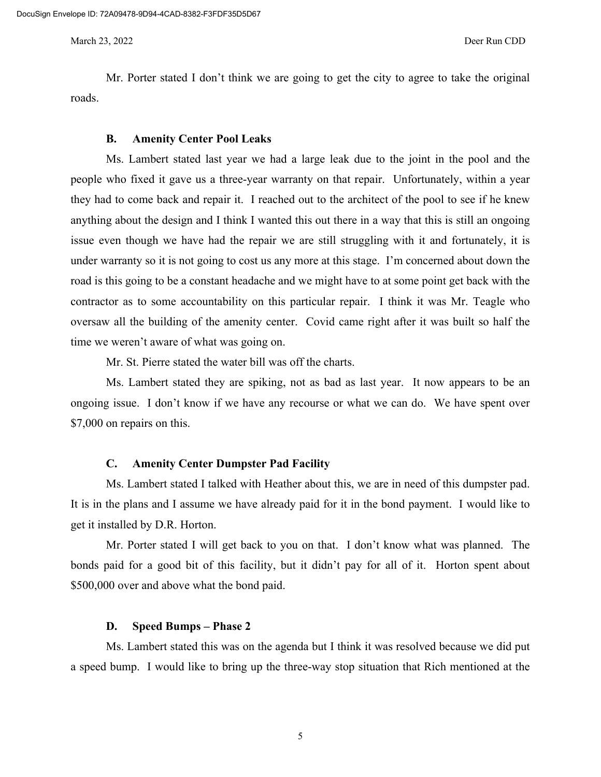Mr. Porter stated I don't think we are going to get the city to agree to take the original roads.

#### **B. Amenity Center Pool Leaks**

Ms. Lambert stated last year we had a large leak due to the joint in the pool and the people who fixed it gave us a three-year warranty on that repair. Unfortunately, within a year they had to come back and repair it. I reached out to the architect of the pool to see if he knew anything about the design and I think I wanted this out there in a way that this is still an ongoing issue even though we have had the repair we are still struggling with it and fortunately, it is under warranty so it is not going to cost us any more at this stage. I'm concerned about down the road is this going to be a constant headache and we might have to at some point get back with the contractor as to some accountability on this particular repair. I think it was Mr. Teagle who oversaw all the building of the amenity center. Covid came right after it was built so half the time we weren't aware of what was going on.

Mr. St. Pierre stated the water bill was off the charts.

Ms. Lambert stated they are spiking, not as bad as last year. It now appears to be an ongoing issue. I don't know if we have any recourse or what we can do. We have spent over \$7,000 on repairs on this.

### **C. Amenity Center Dumpster Pad Facility**

Ms. Lambert stated I talked with Heather about this, we are in need of this dumpster pad. It is in the plans and I assume we have already paid for it in the bond payment. I would like to get it installed by D.R. Horton.

Mr. Porter stated I will get back to you on that. I don't know what was planned. The bonds paid for a good bit of this facility, but it didn't pay for all of it. Horton spent about \$500,000 over and above what the bond paid.

### **D. Speed Bumps – Phase 2**

Ms. Lambert stated this was on the agenda but I think it was resolved because we did put a speed bump. I would like to bring up the three-way stop situation that Rich mentioned at the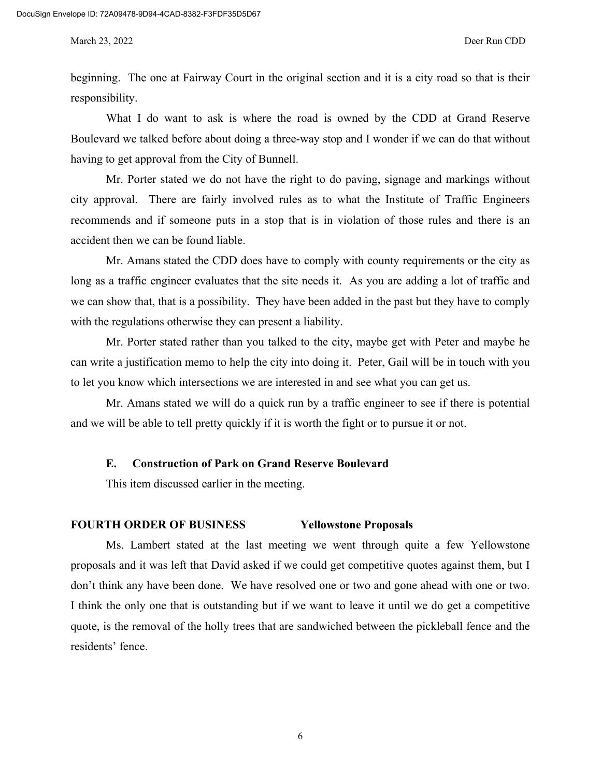beginning. The one at Fairway Court in the original section and it is a city road so that is their responsibility.

What I do want to ask is where the road is owned by the CDD at Grand Reserve Boulevard we talked before about doing a three-way stop and I wonder if we can do that without having to get approval from the City of Bunnell.

Mr. Porter stated we do not have the right to do paving, signage and markings without city approval. There are fairly involved rules as to what the Institute of Traffic Engineers recommends and if someone puts in a stop that is in violation of those rules and there is an accident then we can be found liable.

Mr. Amans stated the CDD does have to comply with county requirements or the city as long as a traffic engineer evaluates that the site needs it. As you are adding a lot of traffic and we can show that, that is a possibility. They have been added in the past but they have to comply with the regulations otherwise they can present a liability.

Mr. Porter stated rather than you talked to the city, maybe get with Peter and maybe he can write a justification memo to help the city into doing it. Peter, Gail will be in touch with you to let you know which intersections we are interested in and see what you can get us.

Mr. Amans stated we will do a quick run by a traffic engineer to see if there is potential and we will be able to tell pretty quickly if it is worth the fight or to pursue it or not.

## **E. Construction of Park on Grand Reserve Boulevard**

This item discussed earlier in the meeting.

## **FOURTH ORDER OF BUSINESS Yellowstone Proposals**

Ms. Lambert stated at the last meeting we went through quite a few Yellowstone proposals and it was left that David asked if we could get competitive quotes against them, but I don't think any have been done. We have resolved one or two and gone ahead with one or two. I think the only one that is outstanding but if we want to leave it until we do get a competitive quote, is the removal of the holly trees that are sandwiched between the pickleball fence and the residents' fence.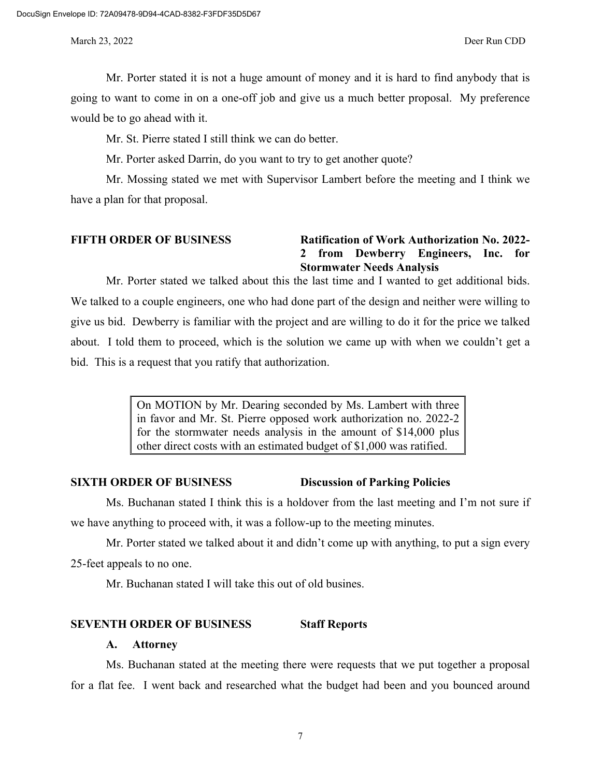Mr. Porter stated it is not a huge amount of money and it is hard to find anybody that is going to want to come in on a one-off job and give us a much better proposal. My preference would be to go ahead with it.

Mr. St. Pierre stated I still think we can do better.

Mr. Porter asked Darrin, do you want to try to get another quote?

Mr. Mossing stated we met with Supervisor Lambert before the meeting and I think we have a plan for that proposal.

# **FIFTH ORDER OF BUSINESS Ratification of Work Authorization No. 2022- 2 from Dewberry Engineers, Inc. for Stormwater Needs Analysis**

Mr. Porter stated we talked about this the last time and I wanted to get additional bids. We talked to a couple engineers, one who had done part of the design and neither were willing to give us bid. Dewberry is familiar with the project and are willing to do it for the price we talked about. I told them to proceed, which is the solution we came up with when we couldn't get a bid. This is a request that you ratify that authorization.

> On MOTION by Mr. Dearing seconded by Ms. Lambert with three in favor and Mr. St. Pierre opposed work authorization no. 2022-2 for the stormwater needs analysis in the amount of \$14,000 plus other direct costs with an estimated budget of \$1,000 was ratified.

### **SIXTH ORDER OF BUSINESS Discussion of Parking Policies**

Ms. Buchanan stated I think this is a holdover from the last meeting and I'm not sure if we have anything to proceed with, it was a follow-up to the meeting minutes.

Mr. Porter stated we talked about it and didn't come up with anything, to put a sign every 25-feet appeals to no one.

Mr. Buchanan stated I will take this out of old busines.

### **SEVENTH ORDER OF BUSINESS Staff Reports**

#### **A. Attorney**

Ms. Buchanan stated at the meeting there were requests that we put together a proposal for a flat fee. I went back and researched what the budget had been and you bounced around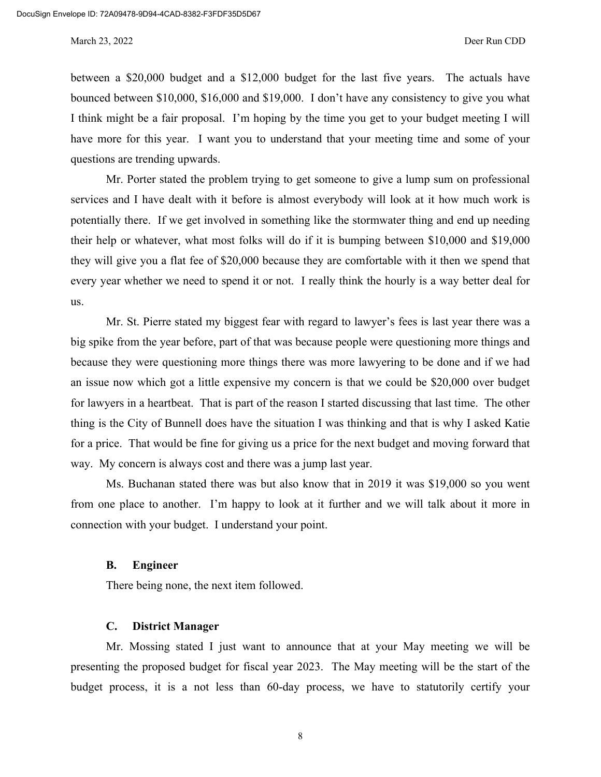between a \$20,000 budget and a \$12,000 budget for the last five years. The actuals have bounced between \$10,000, \$16,000 and \$19,000. I don't have any consistency to give you what I think might be a fair proposal. I'm hoping by the time you get to your budget meeting I will have more for this year. I want you to understand that your meeting time and some of your questions are trending upwards.

Mr. Porter stated the problem trying to get someone to give a lump sum on professional services and I have dealt with it before is almost everybody will look at it how much work is potentially there. If we get involved in something like the stormwater thing and end up needing their help or whatever, what most folks will do if it is bumping between \$10,000 and \$19,000 they will give you a flat fee of \$20,000 because they are comfortable with it then we spend that every year whether we need to spend it or not. I really think the hourly is a way better deal for us.

Mr. St. Pierre stated my biggest fear with regard to lawyer's fees is last year there was a big spike from the year before, part of that was because people were questioning more things and because they were questioning more things there was more lawyering to be done and if we had an issue now which got a little expensive my concern is that we could be \$20,000 over budget for lawyers in a heartbeat. That is part of the reason I started discussing that last time. The other thing is the City of Bunnell does have the situation I was thinking and that is why I asked Katie for a price. That would be fine for giving us a price for the next budget and moving forward that way. My concern is always cost and there was a jump last year.

Ms. Buchanan stated there was but also know that in 2019 it was \$19,000 so you went from one place to another. I'm happy to look at it further and we will talk about it more in connection with your budget. I understand your point.

### **B. Engineer**

There being none, the next item followed.

## **C. District Manager**

Mr. Mossing stated I just want to announce that at your May meeting we will be presenting the proposed budget for fiscal year 2023. The May meeting will be the start of the budget process, it is a not less than 60-day process, we have to statutorily certify your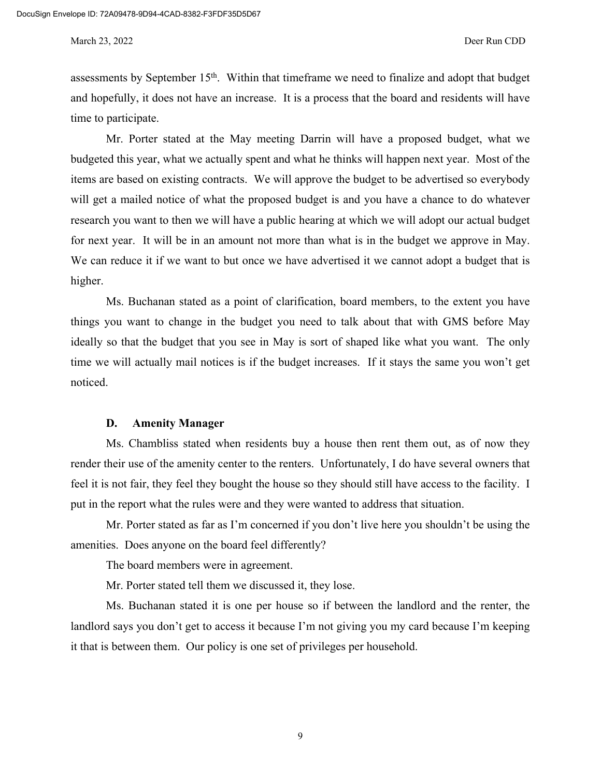assessments by September 15th. Within that timeframe we need to finalize and adopt that budget and hopefully, it does not have an increase. It is a process that the board and residents will have time to participate.

Mr. Porter stated at the May meeting Darrin will have a proposed budget, what we budgeted this year, what we actually spent and what he thinks will happen next year. Most of the items are based on existing contracts. We will approve the budget to be advertised so everybody will get a mailed notice of what the proposed budget is and you have a chance to do whatever research you want to then we will have a public hearing at which we will adopt our actual budget for next year. It will be in an amount not more than what is in the budget we approve in May. We can reduce it if we want to but once we have advertised it we cannot adopt a budget that is higher.

Ms. Buchanan stated as a point of clarification, board members, to the extent you have things you want to change in the budget you need to talk about that with GMS before May ideally so that the budget that you see in May is sort of shaped like what you want. The only time we will actually mail notices is if the budget increases. If it stays the same you won't get noticed.

### **D. Amenity Manager**

Ms. Chambliss stated when residents buy a house then rent them out, as of now they render their use of the amenity center to the renters. Unfortunately, I do have several owners that feel it is not fair, they feel they bought the house so they should still have access to the facility. I put in the report what the rules were and they were wanted to address that situation.

Mr. Porter stated as far as I'm concerned if you don't live here you shouldn't be using the amenities. Does anyone on the board feel differently?

The board members were in agreement.

Mr. Porter stated tell them we discussed it, they lose.

Ms. Buchanan stated it is one per house so if between the landlord and the renter, the landlord says you don't get to access it because I'm not giving you my card because I'm keeping it that is between them. Our policy is one set of privileges per household.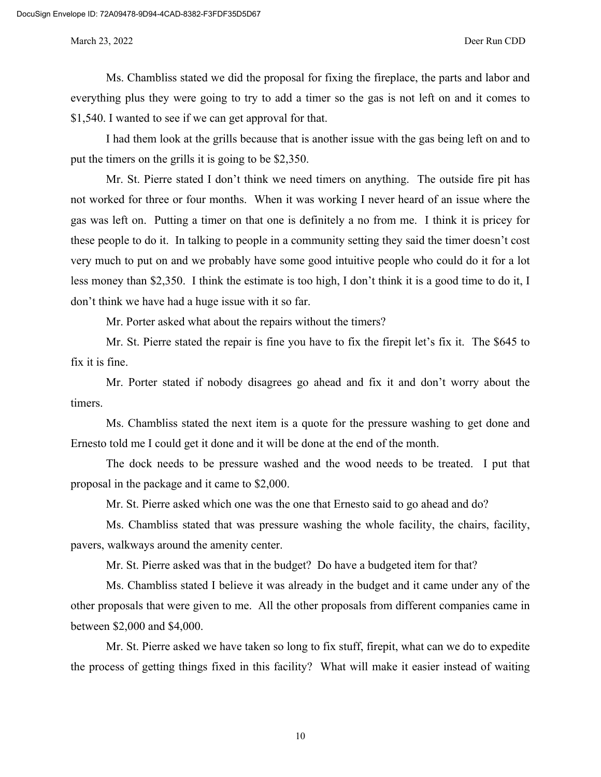Ms. Chambliss stated we did the proposal for fixing the fireplace, the parts and labor and everything plus they were going to try to add a timer so the gas is not left on and it comes to \$1,540. I wanted to see if we can get approval for that.

I had them look at the grills because that is another issue with the gas being left on and to put the timers on the grills it is going to be \$2,350.

Mr. St. Pierre stated I don't think we need timers on anything. The outside fire pit has not worked for three or four months. When it was working I never heard of an issue where the gas was left on. Putting a timer on that one is definitely a no from me. I think it is pricey for these people to do it. In talking to people in a community setting they said the timer doesn't cost very much to put on and we probably have some good intuitive people who could do it for a lot less money than \$2,350. I think the estimate is too high, I don't think it is a good time to do it, I don't think we have had a huge issue with it so far.

Mr. Porter asked what about the repairs without the timers?

Mr. St. Pierre stated the repair is fine you have to fix the firepit let's fix it. The \$645 to fix it is fine.

Mr. Porter stated if nobody disagrees go ahead and fix it and don't worry about the timers.

Ms. Chambliss stated the next item is a quote for the pressure washing to get done and Ernesto told me I could get it done and it will be done at the end of the month.

The dock needs to be pressure washed and the wood needs to be treated. I put that proposal in the package and it came to \$2,000.

Mr. St. Pierre asked which one was the one that Ernesto said to go ahead and do?

Ms. Chambliss stated that was pressure washing the whole facility, the chairs, facility, pavers, walkways around the amenity center.

Mr. St. Pierre asked was that in the budget? Do have a budgeted item for that?

Ms. Chambliss stated I believe it was already in the budget and it came under any of the other proposals that were given to me. All the other proposals from different companies came in between \$2,000 and \$4,000.

Mr. St. Pierre asked we have taken so long to fix stuff, firepit, what can we do to expedite the process of getting things fixed in this facility? What will make it easier instead of waiting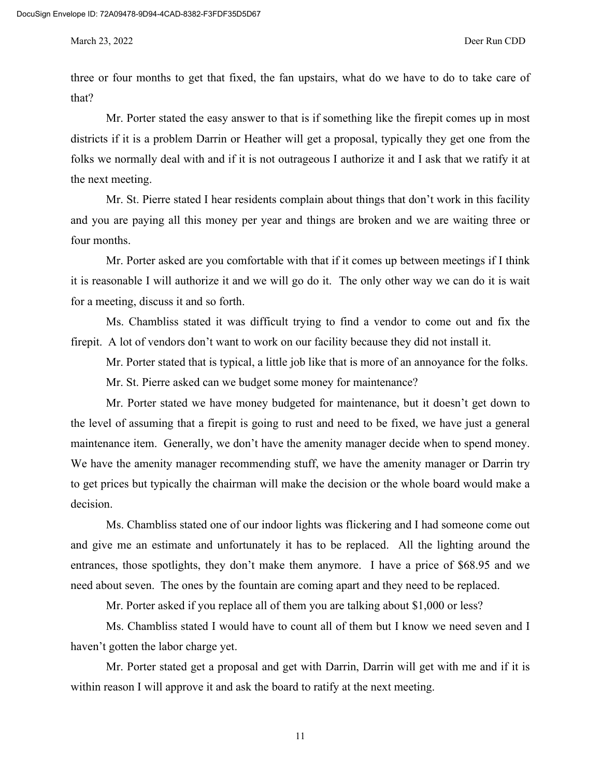three or four months to get that fixed, the fan upstairs, what do we have to do to take care of that?

Mr. Porter stated the easy answer to that is if something like the firepit comes up in most districts if it is a problem Darrin or Heather will get a proposal, typically they get one from the folks we normally deal with and if it is not outrageous I authorize it and I ask that we ratify it at the next meeting.

Mr. St. Pierre stated I hear residents complain about things that don't work in this facility and you are paying all this money per year and things are broken and we are waiting three or four months.

Mr. Porter asked are you comfortable with that if it comes up between meetings if I think it is reasonable I will authorize it and we will go do it. The only other way we can do it is wait for a meeting, discuss it and so forth.

Ms. Chambliss stated it was difficult trying to find a vendor to come out and fix the firepit. A lot of vendors don't want to work on our facility because they did not install it.

Mr. Porter stated that is typical, a little job like that is more of an annoyance for the folks.

Mr. St. Pierre asked can we budget some money for maintenance?

Mr. Porter stated we have money budgeted for maintenance, but it doesn't get down to the level of assuming that a firepit is going to rust and need to be fixed, we have just a general maintenance item. Generally, we don't have the amenity manager decide when to spend money. We have the amenity manager recommending stuff, we have the amenity manager or Darrin try to get prices but typically the chairman will make the decision or the whole board would make a decision.

Ms. Chambliss stated one of our indoor lights was flickering and I had someone come out and give me an estimate and unfortunately it has to be replaced. All the lighting around the entrances, those spotlights, they don't make them anymore. I have a price of \$68.95 and we need about seven. The ones by the fountain are coming apart and they need to be replaced.

Mr. Porter asked if you replace all of them you are talking about \$1,000 or less?

Ms. Chambliss stated I would have to count all of them but I know we need seven and I haven't gotten the labor charge yet.

Mr. Porter stated get a proposal and get with Darrin, Darrin will get with me and if it is within reason I will approve it and ask the board to ratify at the next meeting.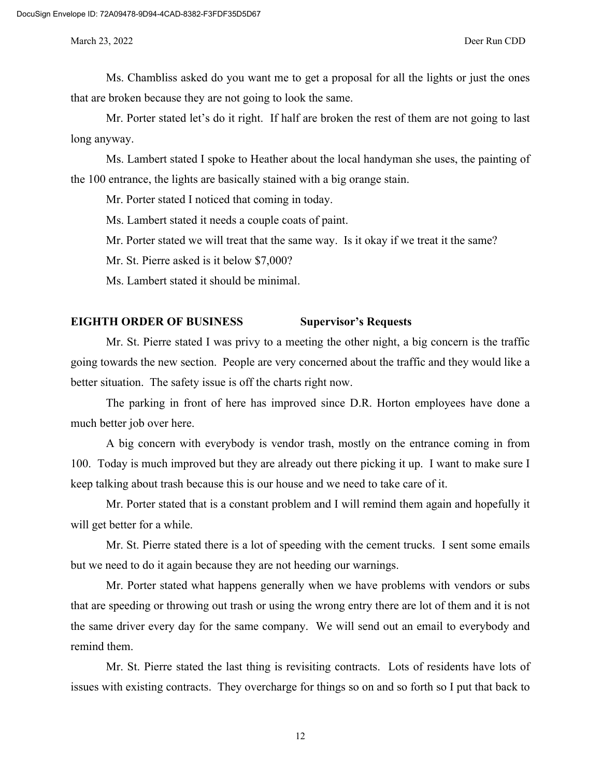Ms. Chambliss asked do you want me to get a proposal for all the lights or just the ones that are broken because they are not going to look the same.

Mr. Porter stated let's do it right. If half are broken the rest of them are not going to last long anyway.

Ms. Lambert stated I spoke to Heather about the local handyman she uses, the painting of the 100 entrance, the lights are basically stained with a big orange stain.

Mr. Porter stated I noticed that coming in today.

Ms. Lambert stated it needs a couple coats of paint.

Mr. Porter stated we will treat that the same way. Is it okay if we treat it the same?

Mr. St. Pierre asked is it below \$7,000?

Ms. Lambert stated it should be minimal.

### **EIGHTH ORDER OF BUSINESS Supervisor's Requests**

Mr. St. Pierre stated I was privy to a meeting the other night, a big concern is the traffic going towards the new section. People are very concerned about the traffic and they would like a better situation. The safety issue is off the charts right now.

The parking in front of here has improved since D.R. Horton employees have done a much better job over here.

A big concern with everybody is vendor trash, mostly on the entrance coming in from 100. Today is much improved but they are already out there picking it up. I want to make sure I keep talking about trash because this is our house and we need to take care of it.

Mr. Porter stated that is a constant problem and I will remind them again and hopefully it will get better for a while.

Mr. St. Pierre stated there is a lot of speeding with the cement trucks. I sent some emails but we need to do it again because they are not heeding our warnings.

Mr. Porter stated what happens generally when we have problems with vendors or subs that are speeding or throwing out trash or using the wrong entry there are lot of them and it is not the same driver every day for the same company. We will send out an email to everybody and remind them.

Mr. St. Pierre stated the last thing is revisiting contracts. Lots of residents have lots of issues with existing contracts. They overcharge for things so on and so forth so I put that back to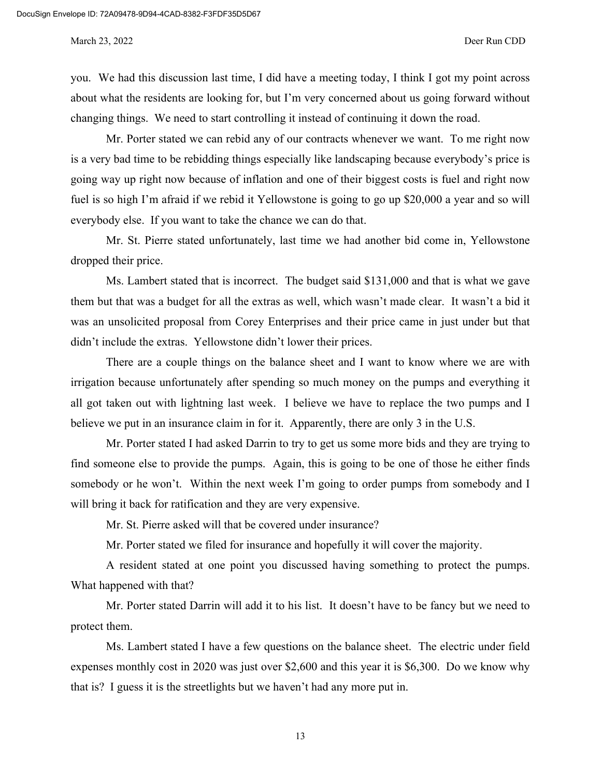you. We had this discussion last time, I did have a meeting today, I think I got my point across about what the residents are looking for, but I'm very concerned about us going forward without changing things. We need to start controlling it instead of continuing it down the road.

Mr. Porter stated we can rebid any of our contracts whenever we want. To me right now is a very bad time to be rebidding things especially like landscaping because everybody's price is going way up right now because of inflation and one of their biggest costs is fuel and right now fuel is so high I'm afraid if we rebid it Yellowstone is going to go up \$20,000 a year and so will everybody else. If you want to take the chance we can do that.

Mr. St. Pierre stated unfortunately, last time we had another bid come in, Yellowstone dropped their price.

Ms. Lambert stated that is incorrect. The budget said \$131,000 and that is what we gave them but that was a budget for all the extras as well, which wasn't made clear. It wasn't a bid it was an unsolicited proposal from Corey Enterprises and their price came in just under but that didn't include the extras. Yellowstone didn't lower their prices.

There are a couple things on the balance sheet and I want to know where we are with irrigation because unfortunately after spending so much money on the pumps and everything it all got taken out with lightning last week. I believe we have to replace the two pumps and I believe we put in an insurance claim in for it. Apparently, there are only 3 in the U.S.

Mr. Porter stated I had asked Darrin to try to get us some more bids and they are trying to find someone else to provide the pumps. Again, this is going to be one of those he either finds somebody or he won't. Within the next week I'm going to order pumps from somebody and I will bring it back for ratification and they are very expensive.

Mr. St. Pierre asked will that be covered under insurance?

Mr. Porter stated we filed for insurance and hopefully it will cover the majority.

A resident stated at one point you discussed having something to protect the pumps. What happened with that?

Mr. Porter stated Darrin will add it to his list. It doesn't have to be fancy but we need to protect them.

Ms. Lambert stated I have a few questions on the balance sheet. The electric under field expenses monthly cost in 2020 was just over \$2,600 and this year it is \$6,300. Do we know why that is? I guess it is the streetlights but we haven't had any more put in.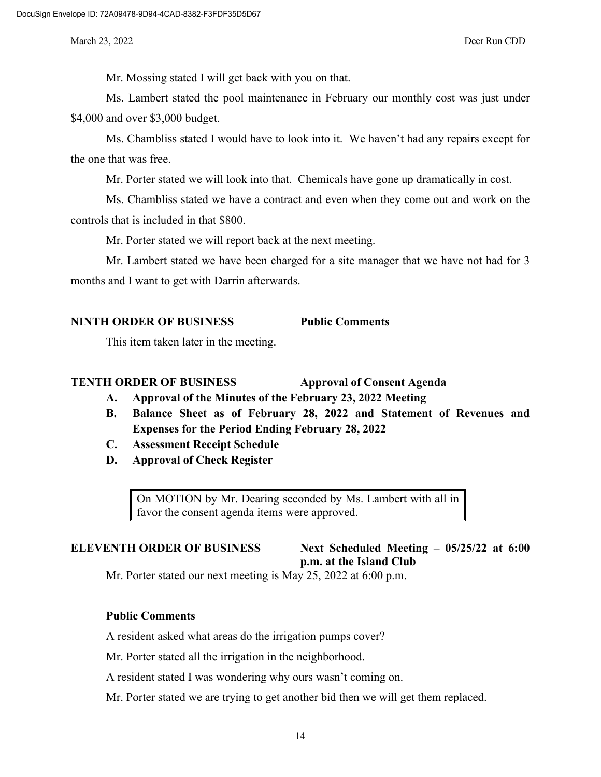Mr. Mossing stated I will get back with you on that.

Ms. Lambert stated the pool maintenance in February our monthly cost was just under \$4,000 and over \$3,000 budget.

Ms. Chambliss stated I would have to look into it. We haven't had any repairs except for the one that was free.

Mr. Porter stated we will look into that. Chemicals have gone up dramatically in cost.

Ms. Chambliss stated we have a contract and even when they come out and work on the controls that is included in that \$800.

Mr. Porter stated we will report back at the next meeting.

Mr. Lambert stated we have been charged for a site manager that we have not had for 3 months and I want to get with Darrin afterwards.

## **NINTH ORDER OF BUSINESS Public Comments**

This item taken later in the meeting.

#### **TENTH ORDER OF BUSINESS Approval of Consent Agenda**

- **A. Approval of the Minutes of the February 23, 2022 Meeting**
- **B. Balance Sheet as of February 28, 2022 and Statement of Revenues and Expenses for the Period Ending February 28, 2022**
- **C. Assessment Receipt Schedule**
- **D. Approval of Check Register**

On MOTION by Mr. Dearing seconded by Ms. Lambert with all in favor the consent agenda items were approved.

**ELEVENTH ORDER OF BUSINESS Next Scheduled Meeting – 05/25/22 at 6:00 p.m. at the Island Club**

Mr. Porter stated our next meeting is May 25, 2022 at 6:00 p.m.

## **Public Comments**

A resident asked what areas do the irrigation pumps cover?

Mr. Porter stated all the irrigation in the neighborhood.

A resident stated I was wondering why ours wasn't coming on.

Mr. Porter stated we are trying to get another bid then we will get them replaced.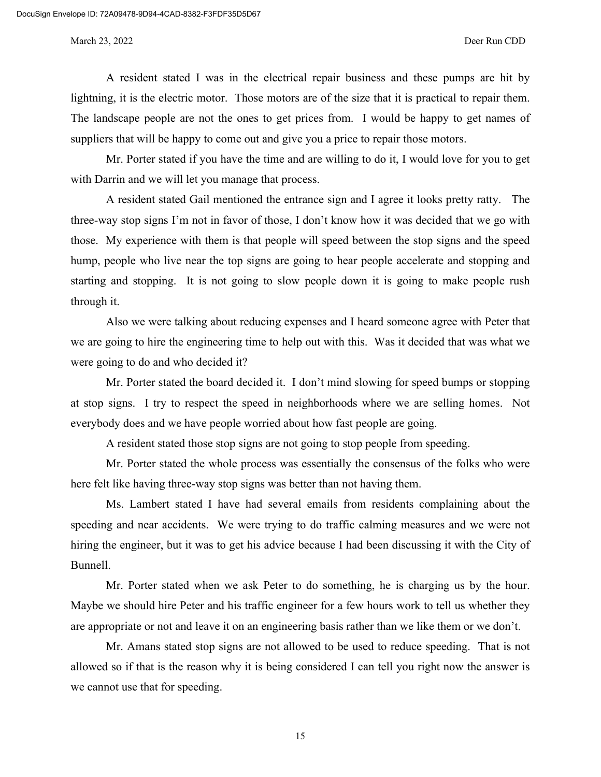A resident stated I was in the electrical repair business and these pumps are hit by lightning, it is the electric motor. Those motors are of the size that it is practical to repair them. The landscape people are not the ones to get prices from. I would be happy to get names of suppliers that will be happy to come out and give you a price to repair those motors.

Mr. Porter stated if you have the time and are willing to do it, I would love for you to get with Darrin and we will let you manage that process.

A resident stated Gail mentioned the entrance sign and I agree it looks pretty ratty. The three-way stop signs I'm not in favor of those, I don't know how it was decided that we go with those. My experience with them is that people will speed between the stop signs and the speed hump, people who live near the top signs are going to hear people accelerate and stopping and starting and stopping. It is not going to slow people down it is going to make people rush through it.

Also we were talking about reducing expenses and I heard someone agree with Peter that we are going to hire the engineering time to help out with this. Was it decided that was what we were going to do and who decided it?

Mr. Porter stated the board decided it. I don't mind slowing for speed bumps or stopping at stop signs. I try to respect the speed in neighborhoods where we are selling homes. Not everybody does and we have people worried about how fast people are going.

A resident stated those stop signs are not going to stop people from speeding.

Mr. Porter stated the whole process was essentially the consensus of the folks who were here felt like having three-way stop signs was better than not having them.

Ms. Lambert stated I have had several emails from residents complaining about the speeding and near accidents. We were trying to do traffic calming measures and we were not hiring the engineer, but it was to get his advice because I had been discussing it with the City of Bunnell.

Mr. Porter stated when we ask Peter to do something, he is charging us by the hour. Maybe we should hire Peter and his traffic engineer for a few hours work to tell us whether they are appropriate or not and leave it on an engineering basis rather than we like them or we don't.

Mr. Amans stated stop signs are not allowed to be used to reduce speeding. That is not allowed so if that is the reason why it is being considered I can tell you right now the answer is we cannot use that for speeding.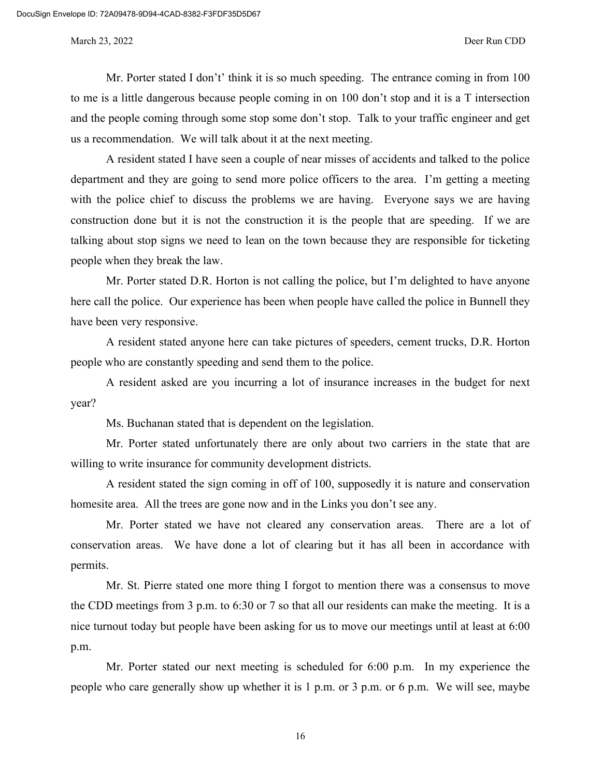Mr. Porter stated I don't' think it is so much speeding. The entrance coming in from 100 to me is a little dangerous because people coming in on 100 don't stop and it is a T intersection and the people coming through some stop some don't stop. Talk to your traffic engineer and get us a recommendation. We will talk about it at the next meeting.

A resident stated I have seen a couple of near misses of accidents and talked to the police department and they are going to send more police officers to the area. I'm getting a meeting with the police chief to discuss the problems we are having. Everyone says we are having construction done but it is not the construction it is the people that are speeding. If we are talking about stop signs we need to lean on the town because they are responsible for ticketing people when they break the law.

Mr. Porter stated D.R. Horton is not calling the police, but I'm delighted to have anyone here call the police. Our experience has been when people have called the police in Bunnell they have been very responsive.

A resident stated anyone here can take pictures of speeders, cement trucks, D.R. Horton people who are constantly speeding and send them to the police.

A resident asked are you incurring a lot of insurance increases in the budget for next year?

Ms. Buchanan stated that is dependent on the legislation.

Mr. Porter stated unfortunately there are only about two carriers in the state that are willing to write insurance for community development districts.

A resident stated the sign coming in off of 100, supposedly it is nature and conservation homesite area. All the trees are gone now and in the Links you don't see any.

Mr. Porter stated we have not cleared any conservation areas. There are a lot of conservation areas. We have done a lot of clearing but it has all been in accordance with permits.

Mr. St. Pierre stated one more thing I forgot to mention there was a consensus to move the CDD meetings from 3 p.m. to 6:30 or 7 so that all our residents can make the meeting. It is a nice turnout today but people have been asking for us to move our meetings until at least at 6:00 p.m.

Mr. Porter stated our next meeting is scheduled for 6:00 p.m. In my experience the people who care generally show up whether it is 1 p.m. or 3 p.m. or 6 p.m. We will see, maybe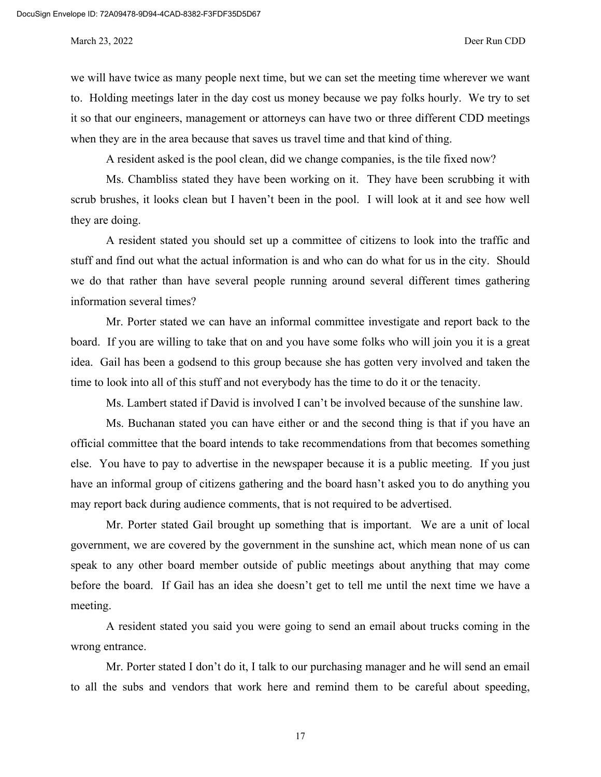we will have twice as many people next time, but we can set the meeting time wherever we want to. Holding meetings later in the day cost us money because we pay folks hourly. We try to set it so that our engineers, management or attorneys can have two or three different CDD meetings when they are in the area because that saves us travel time and that kind of thing.

A resident asked is the pool clean, did we change companies, is the tile fixed now?

Ms. Chambliss stated they have been working on it. They have been scrubbing it with scrub brushes, it looks clean but I haven't been in the pool. I will look at it and see how well they are doing.

A resident stated you should set up a committee of citizens to look into the traffic and stuff and find out what the actual information is and who can do what for us in the city. Should we do that rather than have several people running around several different times gathering information several times?

Mr. Porter stated we can have an informal committee investigate and report back to the board. If you are willing to take that on and you have some folks who will join you it is a great idea. Gail has been a godsend to this group because she has gotten very involved and taken the time to look into all of this stuff and not everybody has the time to do it or the tenacity.

Ms. Lambert stated if David is involved I can't be involved because of the sunshine law.

Ms. Buchanan stated you can have either or and the second thing is that if you have an official committee that the board intends to take recommendations from that becomes something else. You have to pay to advertise in the newspaper because it is a public meeting. If you just have an informal group of citizens gathering and the board hasn't asked you to do anything you may report back during audience comments, that is not required to be advertised.

Mr. Porter stated Gail brought up something that is important. We are a unit of local government, we are covered by the government in the sunshine act, which mean none of us can speak to any other board member outside of public meetings about anything that may come before the board. If Gail has an idea she doesn't get to tell me until the next time we have a meeting.

A resident stated you said you were going to send an email about trucks coming in the wrong entrance.

Mr. Porter stated I don't do it, I talk to our purchasing manager and he will send an email to all the subs and vendors that work here and remind them to be careful about speeding,